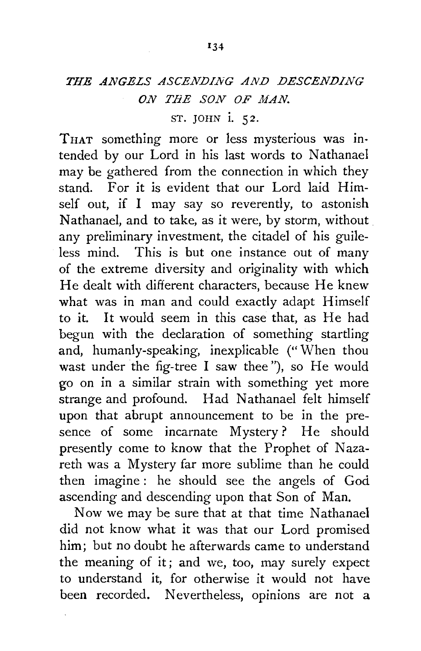## *THE ANGELS ASCENDING AND DESCENDING ON THE SON OF MAN.*

## ST. JOHN i. *52.*

THAT something more or less mysterious was intended by our Lord in his last words to Nathanael may be gathered from the connection in which they stand. For it is evident that our Lord laid Himself out, if I may say so reverently, to astonish Nathanael, and to take, as it were, by storm, without any preliminary investment, the citadel of his guileless mind. This is but one instance out of many of the extreme diversity and originality with which He dealt with different characters, because He knew what was in man and could exactly adapt Himself to it. It would seem in this case that, as He had begun with the declaration of something startling and, humanly-speaking, inexplicable ("When thou wast under the fig-tree I saw thee"), so He would go on in a similar strain with something yet more strange and profound. Had Nathanael felt himself upon that abrupt announcement to be in the presence of some incarnate Mystery? He should presently come to know that the Prophet of Nazareth was a Mystery far more sublime than he could then imagine : he should see the angels of God ascending and descending upon that Son of Man.

Now we may be sure that at that time Nathanael did not know what it was that our Lord promised him; but no doubt he afterwards came to understand the meaning of it; and we, too, may surely expect to understand it, for otherwise it would not have been recorded. Nevertheless, opinions are not a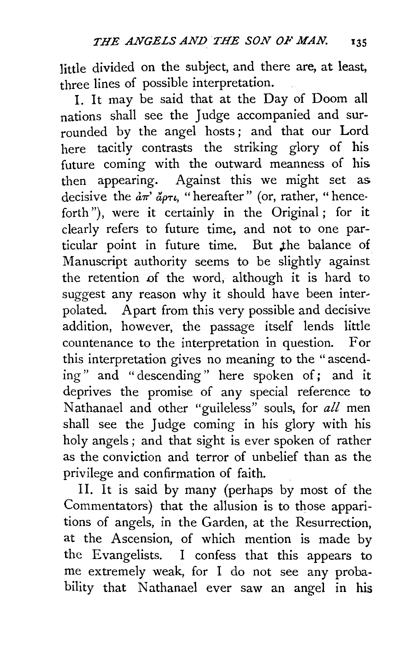little divided on the subject, and there are, at least, three lines of possible interpretation.

I. It may be said that at the Day of Doom all nations shall see the Judge accompanied and surrounded by the angel hosts ; and that our Lord here tacitly contrasts the striking glory of his future coming with the outward meanness of his then appearing. Against this we might set as decisive the  $d\pi$   $d\rho\tau\iota$ , "hereafter" (or, rather, "henceforth"), were it certainly in the Original; for it clearly refers to future time, and not to one particular point in future time. But the balance of Manuscript authority seems to be slightly against the retention of the word, although it is hard to suggest any reason why it should have been interpolated. Apart from this very possible and decisive addition, however, the passage itself lends little countenance to the interpretation in question. For this interpretation gives no meaning to the "ascending" and " descending " here spoken of; and it deprives the promise of any special reference to Nathanael and other "guileless" souls, for all men shall see the Judge coming in his glory with his holy angels ; and that sight is ever spoken of rather as the conviction and terror of unbelief than as the privilege and confirmation of faith.

II. It is said by many (perhaps by most of the Commentators) that the allusion is to those apparitions of angels, in the Garden, at the Resurrection, at the Ascension, of which mention is made by the Evangelists. I confess that this appears to me extremely weak, for I do not see any probability that Nathanael ever saw an angel in his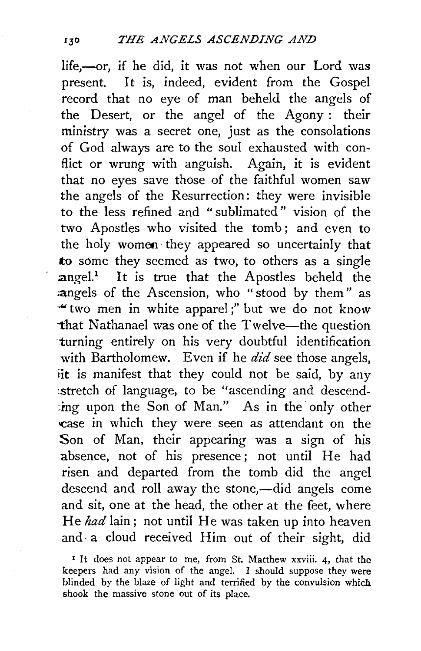life,-or, if he did, it was not when our Lord was present. It is, indeed, evident from the Gospel record that no eye of man beheld the angels of the Desert, or the angel of the Agony : their ministry was a secret one, just as the consolations of God always are to the soul exhausted with conflict or wrung with anguish. Again, it is evident that no eyes save those of the faithful women saw the angels of the Resurrection: they were invisible to the less refined and "sublimated" vision of the two Apostles who visited the tomb; and even to the holy womoo they appeared so uncertainly that to some they seemed as two, to others as a single  $angel<sup>1</sup>$  It is true that the Apostles beheld the angels of the Ascension, who "stood by them" as " two men in white apparel;" but we do not know that Nathanael was one of the Twelve-the question turning entirely on his very doubtful identification with Bartholomew. Even if he *did* see those angels, *iit* is manifest that they could not be said, by any :stretch of language, to be "ascending and descend-  $\lim g$  upon the Son of Man." As in the only other case in which they were seen as attendant on the Son of Man, their appearing was a sign of his absence, not of his presence ; not until He had risen and departed from the tomb did the angel descend and roll away the stone,—did angels come and sit, one at the head, the other at the feet, where He *had* lain; not until He was taken up into heaven and· a cloud received Him out of their sight, did

<sup>&</sup>lt;sup>1</sup> It does not appear to me, from St. Matthew xxviii. 4, that the keepers had any vision of the angel. I should suppose they were blinded by the blaze of light and terrified by the convulsion which shook the massive stone out of its place.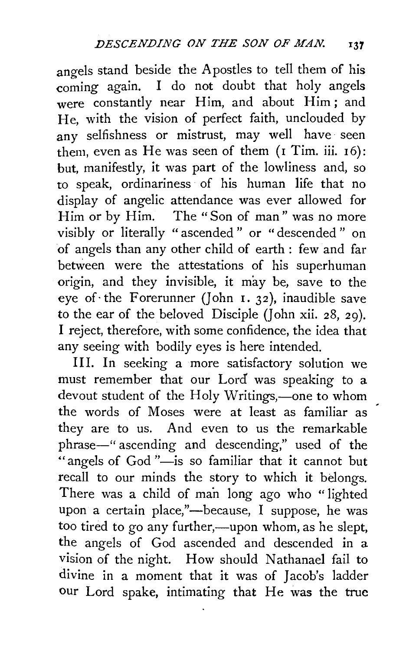angels stand beside the Apostles to tell them of his coming again. I do not doubt that holy angels were constantly near Him, and about Him; and He, with the vision of perfect faith, unclouded by any selfishness or mistrust, may well have seen them, even as He was seen of them  $(1$  Tim. iii.  $16)$ : but, manifestly, it was part of the lowliness and, so to speak, ordinariness of his human life that no display of angelic attendance was ever allowed for Him or by Him. The "Son of man" was no more visibly or literally " ascended " or " descended " on of angels than any other child of earth : few and far between were the attestations of his superhuman origin, and they invisible, it may be, save to the eye of the Forerunner (John  $1.32$ ), inaudible save to the ear of the beloved Disciple (John xii. 28, 29). I reject, therefore, with some confidence, the idea that any seeing with bodily eyes is here intended.

III. In seeking a more satisfactory solution we must remember that our Lord was speaking to a devout student of the Holy Writings,—one to whom the words of Moses were at least as familiar as they are to us. And even to us the remarkable phrase-" ascending and descending," used of the "angels of God"-is so familiar that it cannot but recall to our minds the story to which it belongs. There was a child of man long ago who " lighted upon a certain place,"—because, I suppose, he was too tired to go any further,—upon whom, as he slept, the angels of God ascended and descended in a vision of the night. How should Nathanael fail to divine in a moment that it was of Jacob's ladder our Lord spake, intimating that He was the true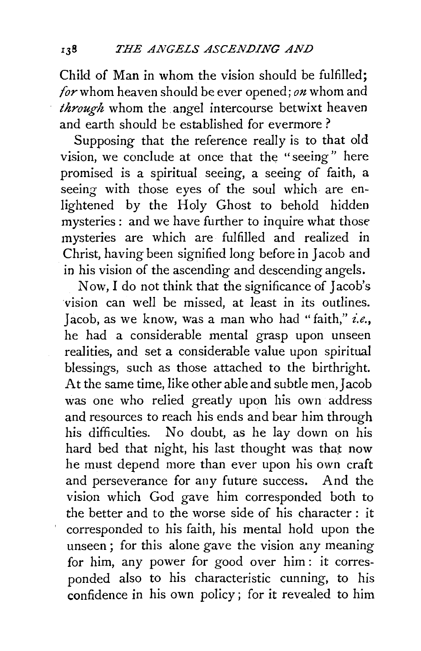Child of Man in whom the vision should be fulfilled; *(or* whom heaven should be ever opened; *on* whom and *through* whom the angel intercourse betwixt heaven and earth should be established for evermore ?

Supposing that the reference really is to that old vision, we conclude at once that the "seeing" here promised is a spiritual seeing, a seeing of faith, a seeing with those eyes of the soul which are enlightened by the Holy Ghost to behold hidden mysteries : and we have further to inquire what those mysteries are which are fulfilled and realized in Christ, having been signified long before in Jacob and in his vision of the ascending and descending angels.

Now, I do not think that the significance of Jacob's vision can well be missed, at least in its outlines. Jacob, as we know, was a man who had "faith," *i.e.,*  he had a considerable mental grasp upon unseen realities, and set a considerable value upon spiritual blessings, such as those attached to the birthright. At the same time, like other able and subtle men, Jacob was one who relied greatly upon his own address and resources to reach his ends and bear him through his difficulties. No doubt, as he lay down on his hard bed that night, his last thought was that now he must depend more than ever upon his own craft and perseverance for any future success. And the vision which God gave him corresponded both to the better and to the worse side of his character: it corresponded to his faith, his mental hold upon the unseen; for this alone gave the vision any meaning for him, any power for good over him : it corresponded also to his characteristic cunning, to his confidence in his own policy; for it revealed to him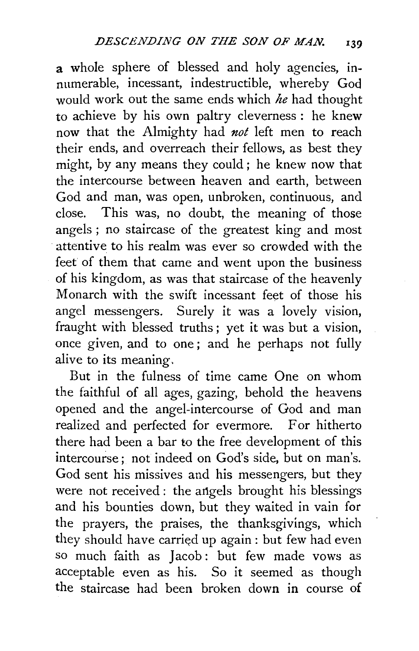a whole sphere of blessed and holy agencies, in· numerable, incessant, indestructible, whereby God would work out the same ends which *he* had thought to achieve by his own paltry cleverness: he knew now that the Almighty had *not* left men to reach their ends, and overreach their fellows, as best they might, by any means they could ; he knew now that the intercourse between heaven and earth, between God and man, was open, unbroken, continuous, and close. This was, no doubt, the meaning of those angels ; no staircase of the greatest king and most attentive to his realm was ever so crowded with the feet of them that came and went upon the business of his kingdom, as was that staircase of the heavenly Monarch with the swift incessant feet of those his angel messengers. Surely it was a lovely vision, fraught with blessed truths ; yet it was but a vision, once given, and to one; and he perhaps not fully alive to its meaning,

But in the fulness of time came One on whom the faithful of all ages, gazing, behold the heavens opened and the angel-intercourse of God and man realized and perfected for evermore. For hitherto there had been a bar to the free development of this intercourse; not indeed on God's side, but on man's. God sent his missives and his messengers, but they were not received: the angels brought his blessings and his bounties down, but they waited in vain for the prayers, the praises, the thanksgivings, which they should have carried up again: but few had even so much faith as Jacob: but few made vows as acceptable even as his. So it seemed as though the staircase had been broken down in course of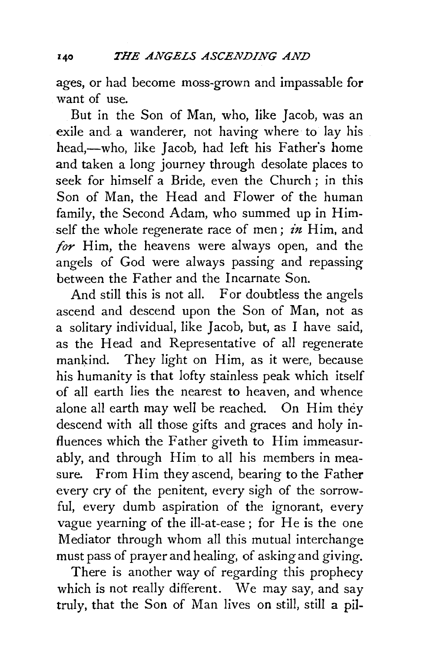ages, or had become moss-grown and impassable for want of use.

But in the Son of Man, who, like Jacob, was an exile and a wanderer, not having where to lay his head,—who, like Jacob, had left his Father's home and taken a long journey through desolate places to seek for himself a Bride, even the Church ; in this Son of Man, the Head and Flower of the human family, the Second Adam, who summed up in Himself the whole regenerate race of men; *in* Him, and *for* Him, the heavens were always open, and the angels of God were always passing and repassing between the Father and the Incarnate Son.

And still this is not all. For doubtless the angels ascend and descend upon the Son of Man, not as a solitary individual, like Jacob, but, as I have said, as the Head and Representative of all regenerate mankind. They light on Him, as it were, because his humanity is that lofty stainless peak which itself of all earth lies the nearest to heaven, and whence alone all earth may well be reached. On Him they descend with all those gifts and graces and holy influences which the Father giveth to Him immeasurably, and through Him to all his members in measure. From Him they ascend, bearing to the Father every cry of the penitent, every sigh of the sorrowful, every dumb aspiration of the ignorant, every vague yearning of the ill-at-ease; for He is the one Mediator through whom all this mutual interchange must pass of prayer and healing, of asking and giving.

There is another way of regarding this prophecy which is not really different. We may say, and say truly, that the Son of Man lives on still, stili a pil-